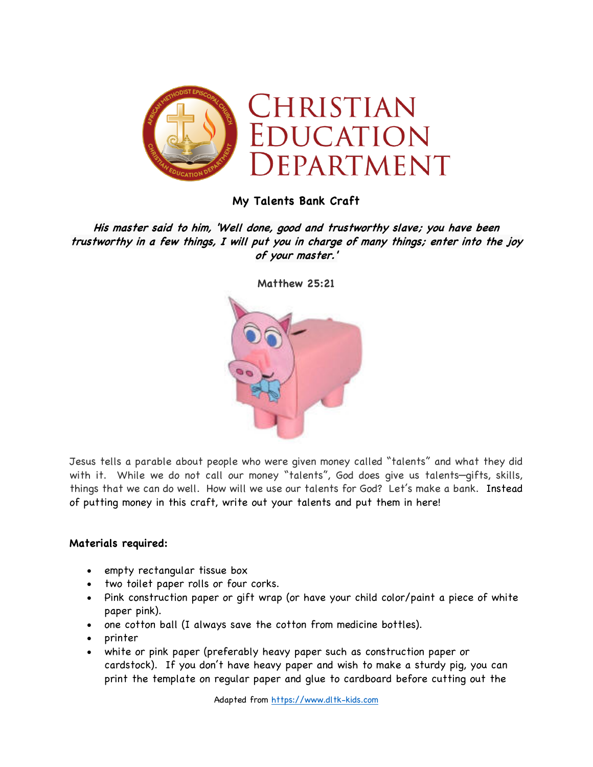

## **My Talents Bank Craft**

**His master said to him, 'Well done, good and trustworthy slave; you have been trustworthy in a few things, I will put you in charge of many things; enter into the joy of your master.'**



**Matthew 25:21**

Jesus tells a parable about people who were given money called "talents" and what they did with it. While we do not call our money "talents", God does give us talents—gifts, skills, things that we can do well. How will we use our talents for God? Let's make a bank. Instead of putting money in this craft, write out your talents and put them in here!

## **Materials required:**

- empty rectangular tissue box
- two toilet paper rolls or four corks.
- Pink construction paper or gift wrap (or have your child color/paint a piece of white paper pink).
- one cotton ball (I always save the cotton from medicine bottles).
- printer
- white or pink paper (preferably heavy paper such as construction paper or cardstock). If you don't have heavy paper and wish to make a sturdy pig, you can print the template on regular paper and glue to cardboard before cutting out the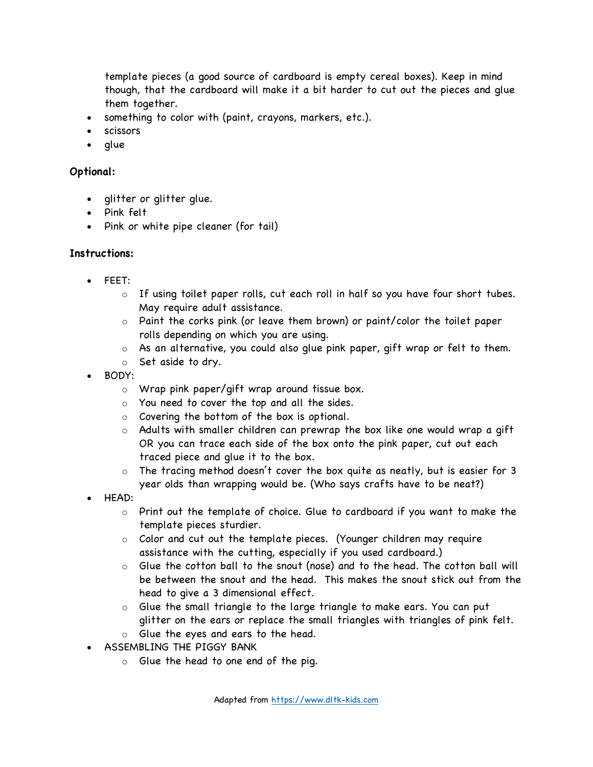template pieces (a good source of cardboard is empty cereal boxes). Keep in mind though, that the cardboard will make it a bit harder to cut out the pieces and glue them together.

- something to color with (paint, crayons, markers, etc.).
- scissors
- glue

## **Optional:**

- glitter or glitter glue.
- Pink felt
- Pink or white pipe cleaner (for tail)

## **Instructions:**

- FEET:
	- $\circ$  If using toilet paper rolls, cut each roll in half so you have four short tubes. May require adult assistance.
	- $\circ$  Paint the corks pink (or leave them brown) or paint/color the toilet paper rolls depending on which you are using.
	- o As an alternative, you could also glue pink paper, gift wrap or felt to them.
	- o Set aside to dry.
- BODY:
	- o Wrap pink paper/gift wrap around tissue box.
	- o You need to cover the top and all the sides.
	- o Covering the bottom of the box is optional.
	- o Adults with smaller children can prewrap the box like one would wrap a gift OR you can trace each side of the box onto the pink paper, cut out each traced piece and glue it to the box.
	- $\circ$  The tracing method doesn't cover the box quite as neatly, but is easier for 3 year olds than wrapping would be. (Who says crafts have to be neat?)
- HEAD:
	- o Print out the template of choice. Glue to cardboard if you want to make the template pieces sturdier.
	- o Color and cut out the template pieces. (Younger children may require assistance with the cutting, especially if you used cardboard.)
	- o Glue the cotton ball to the snout (nose) and to the head. The cotton ball will be between the snout and the head. This makes the snout stick out from the head to give a 3 dimensional effect.
	- o Glue the small triangle to the large triangle to make ears. You can put glitter on the ears or replace the small triangles with triangles of pink felt.
	- o Glue the eyes and ears to the head.
- ASSEMBLING THE PIGGY BANK
	- o Glue the head to one end of the pig.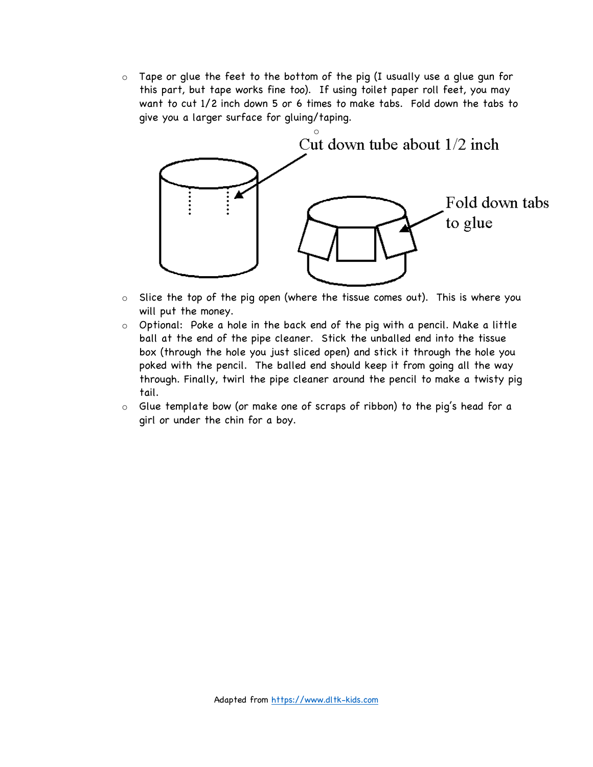$\circ$  Tape or glue the feet to the bottom of the pig (I usually use a glue gun for this part, but tape works fine too). If using toilet paper roll feet, you may want to cut 1/2 inch down 5 or 6 times to make tabs. Fold down the tabs to give you a larger surface for gluing/taping.



- o Slice the top of the pig open (where the tissue comes out). This is where you will put the money.
- o Optional: Poke a hole in the back end of the pig with a pencil. Make a little ball at the end of the pipe cleaner. Stick the unballed end into the tissue box (through the hole you just sliced open) and stick it through the hole you poked with the pencil. The balled end should keep it from going all the way through. Finally, twirl the pipe cleaner around the pencil to make a twisty pig tail.
- o Glue template bow (or make one of scraps of ribbon) to the pig's head for a girl or under the chin for a boy.